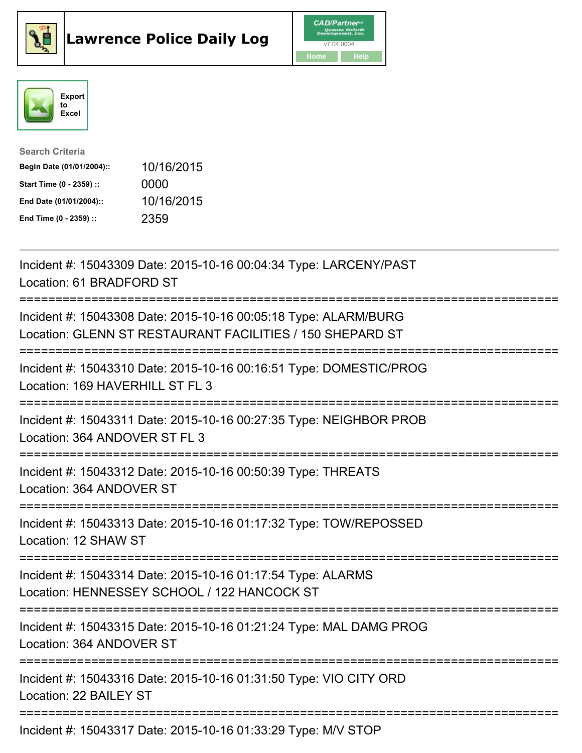





| <b>Search Criteria</b>    |            |
|---------------------------|------------|
| Begin Date (01/01/2004):: | 10/16/2015 |
| Start Time (0 - 2359) ::  | 0000       |
| End Date (01/01/2004)::   | 10/16/2015 |
| End Time (0 - 2359) ::    | 2359       |

| Incident #: 15043309 Date: 2015-10-16 00:04:34 Type: LARCENY/PAST<br>Location: 61 BRADFORD ST                                       |
|-------------------------------------------------------------------------------------------------------------------------------------|
| Incident #: 15043308 Date: 2015-10-16 00:05:18 Type: ALARM/BURG<br>Location: GLENN ST RESTAURANT FACILITIES / 150 SHEPARD ST        |
| Incident #: 15043310 Date: 2015-10-16 00:16:51 Type: DOMESTIC/PROG<br>Location: 169 HAVERHILL ST FL 3                               |
| Incident #: 15043311 Date: 2015-10-16 00:27:35 Type: NEIGHBOR PROB<br>Location: 364 ANDOVER ST FL 3<br>-----------                  |
| Incident #: 15043312 Date: 2015-10-16 00:50:39 Type: THREATS<br>Location: 364 ANDOVER ST<br>----------                              |
| Incident #: 15043313 Date: 2015-10-16 01:17:32 Type: TOW/REPOSSED<br>Location: 12 SHAW ST<br>====================================== |
| Incident #: 15043314 Date: 2015-10-16 01:17:54 Type: ALARMS<br>Location: HENNESSEY SCHOOL / 122 HANCOCK ST                          |
| Incident #: 15043315 Date: 2015-10-16 01:21:24 Type: MAL DAMG PROG<br>Location: 364 ANDOVER ST                                      |
| Incident #: 15043316 Date: 2015-10-16 01:31:50 Type: VIO CITY ORD<br>Location: 22 BAILEY ST                                         |
| Incident #: 15043317 Date: 2015-10-16 01:33:29 Type: M/V STOP                                                                       |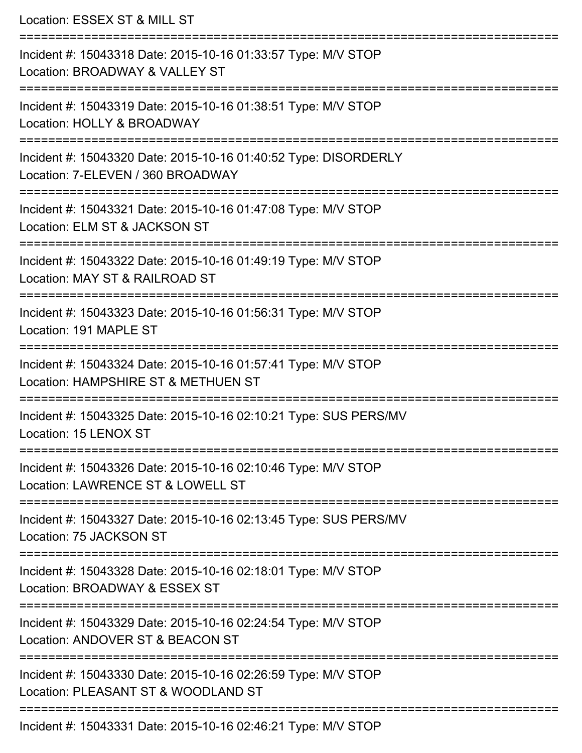Location: ESSEX ST & MILL ST =========================================================================== Incident #: 15043318 Date: 2015-10-16 01:33:57 Type: M/V STOP Location: BROADWAY & VALLEY ST =========================================================================== Incident #: 15043319 Date: 2015-10-16 01:38:51 Type: M/V STOP Location: HOLLY & BROADWAY =========================================================================== Incident #: 15043320 Date: 2015-10-16 01:40:52 Type: DISORDERLY Location: 7-ELEVEN / 360 BROADWAY =========================================================================== Incident #: 15043321 Date: 2015-10-16 01:47:08 Type: M/V STOP Location: ELM ST & JACKSON ST =========================================================================== Incident #: 15043322 Date: 2015-10-16 01:49:19 Type: M/V STOP Location: MAY ST & RAILROAD ST =========================================================================== Incident #: 15043323 Date: 2015-10-16 01:56:31 Type: M/V STOP Location: 191 MAPLE ST =========================================================================== Incident #: 15043324 Date: 2015-10-16 01:57:41 Type: M/V STOP Location: HAMPSHIRE ST & METHUEN ST =========================================================================== Incident #: 15043325 Date: 2015-10-16 02:10:21 Type: SUS PERS/MV Location: 15 LENOX ST =========================================================================== Incident #: 15043326 Date: 2015-10-16 02:10:46 Type: M/V STOP Location: LAWRENCE ST & LOWFI I ST =========================================================================== Incident #: 15043327 Date: 2015-10-16 02:13:45 Type: SUS PERS/MV Location: 75 JACKSON ST =========================================================================== Incident #: 15043328 Date: 2015-10-16 02:18:01 Type: M/V STOP Location: BROADWAY & ESSEX ST =========================================================================== Incident #: 15043329 Date: 2015-10-16 02:24:54 Type: M/V STOP Location: ANDOVER ST & BEACON ST =========================================================================== Incident #: 15043330 Date: 2015-10-16 02:26:59 Type: M/V STOP Location: PLEASANT ST & WOODLAND ST ===========================================================================

Incident #: 15043331 Date: 2015-10-16 02:46:21 Type: M/V STOP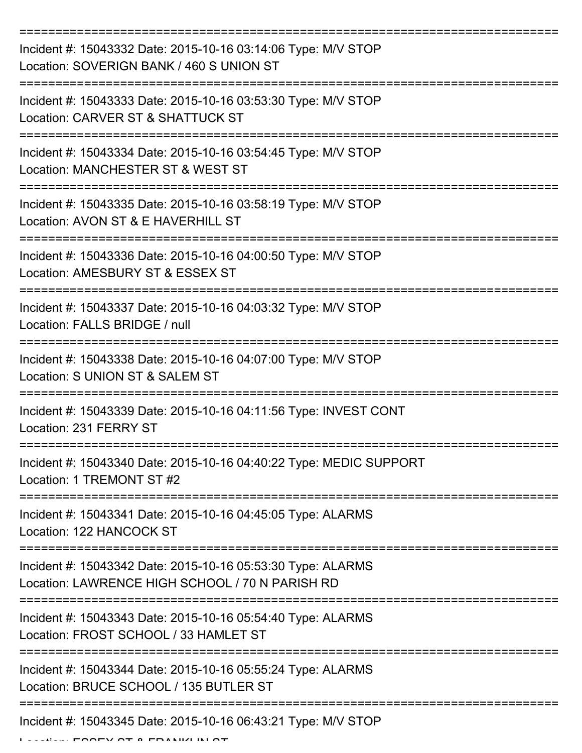| Incident #: 15043332 Date: 2015-10-16 03:14:06 Type: M/V STOP<br>Location: SOVERIGN BANK / 460 S UNION ST      |
|----------------------------------------------------------------------------------------------------------------|
| Incident #: 15043333 Date: 2015-10-16 03:53:30 Type: M/V STOP<br>Location: CARVER ST & SHATTUCK ST             |
| Incident #: 15043334 Date: 2015-10-16 03:54:45 Type: M/V STOP<br>Location: MANCHESTER ST & WEST ST             |
| Incident #: 15043335 Date: 2015-10-16 03:58:19 Type: M/V STOP<br>Location: AVON ST & E HAVERHILL ST            |
| Incident #: 15043336 Date: 2015-10-16 04:00:50 Type: M/V STOP<br>Location: AMESBURY ST & ESSEX ST              |
| Incident #: 15043337 Date: 2015-10-16 04:03:32 Type: M/V STOP<br>Location: FALLS BRIDGE / null                 |
| Incident #: 15043338 Date: 2015-10-16 04:07:00 Type: M/V STOP<br>Location: S UNION ST & SALEM ST               |
| Incident #: 15043339 Date: 2015-10-16 04:11:56 Type: INVEST CONT<br>Location: 231 FERRY ST                     |
| Incident #: 15043340 Date: 2015-10-16 04:40:22 Type: MEDIC SUPPORT<br>Location: 1 TREMONT ST #2                |
| Incident #: 15043341 Date: 2015-10-16 04:45:05 Type: ALARMS<br>Location: 122 HANCOCK ST                        |
| Incident #: 15043342 Date: 2015-10-16 05:53:30 Type: ALARMS<br>Location: LAWRENCE HIGH SCHOOL / 70 N PARISH RD |
| Incident #: 15043343 Date: 2015-10-16 05:54:40 Type: ALARMS<br>Location: FROST SCHOOL / 33 HAMLET ST           |
| Incident #: 15043344 Date: 2015-10-16 05:55:24 Type: ALARMS<br>Location: BRUCE SCHOOL / 135 BUTLER ST          |
| Incident #: 15043345 Date: 2015-10-16 06:43:21 Type: M/V STOP                                                  |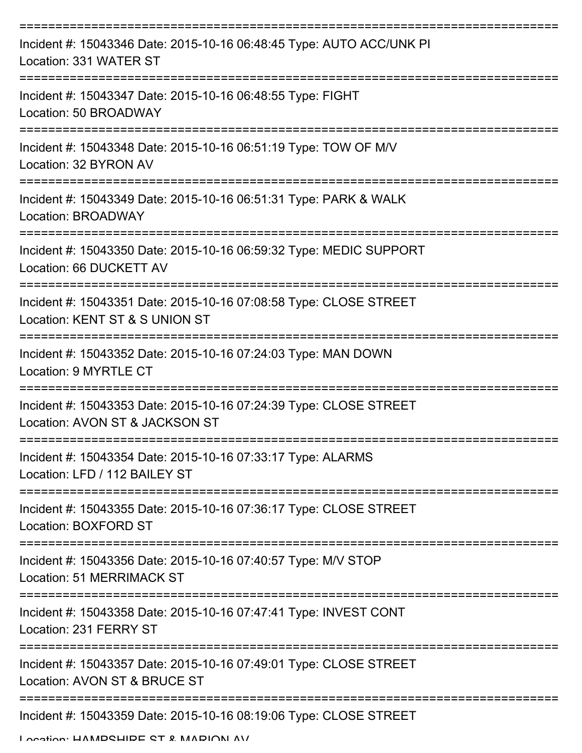| Incident #: 15043346 Date: 2015-10-16 06:48:45 Type: AUTO ACC/UNK PI<br>Location: 331 WATER ST      |
|-----------------------------------------------------------------------------------------------------|
| Incident #: 15043347 Date: 2015-10-16 06:48:55 Type: FIGHT<br>Location: 50 BROADWAY                 |
| Incident #: 15043348 Date: 2015-10-16 06:51:19 Type: TOW OF M/V<br>Location: 32 BYRON AV            |
| Incident #: 15043349 Date: 2015-10-16 06:51:31 Type: PARK & WALK<br>Location: BROADWAY              |
| Incident #: 15043350 Date: 2015-10-16 06:59:32 Type: MEDIC SUPPORT<br>Location: 66 DUCKETT AV       |
| Incident #: 15043351 Date: 2015-10-16 07:08:58 Type: CLOSE STREET<br>Location: KENT ST & S UNION ST |
| Incident #: 15043352 Date: 2015-10-16 07:24:03 Type: MAN DOWN<br>Location: 9 MYRTLE CT              |
| Incident #: 15043353 Date: 2015-10-16 07:24:39 Type: CLOSE STREET<br>Location: AVON ST & JACKSON ST |
| Incident #: 15043354 Date: 2015-10-16 07:33:17 Type: ALARMS<br>Location: LFD / 112 BAILEY ST        |
| Incident #: 15043355 Date: 2015-10-16 07:36:17 Type: CLOSE STREET<br>Location: BOXFORD ST           |
| Incident #: 15043356 Date: 2015-10-16 07:40:57 Type: M/V STOP<br><b>Location: 51 MERRIMACK ST</b>   |
| Incident #: 15043358 Date: 2015-10-16 07:47:41 Type: INVEST CONT<br>Location: 231 FERRY ST          |
| Incident #: 15043357 Date: 2015-10-16 07:49:01 Type: CLOSE STREET<br>Location: AVON ST & BRUCE ST   |
| Incident #: 15043359 Date: 2015-10-16 08:19:06 Type: CLOSE STREET                                   |

Location: HAMPSHIDE ST & MADION AV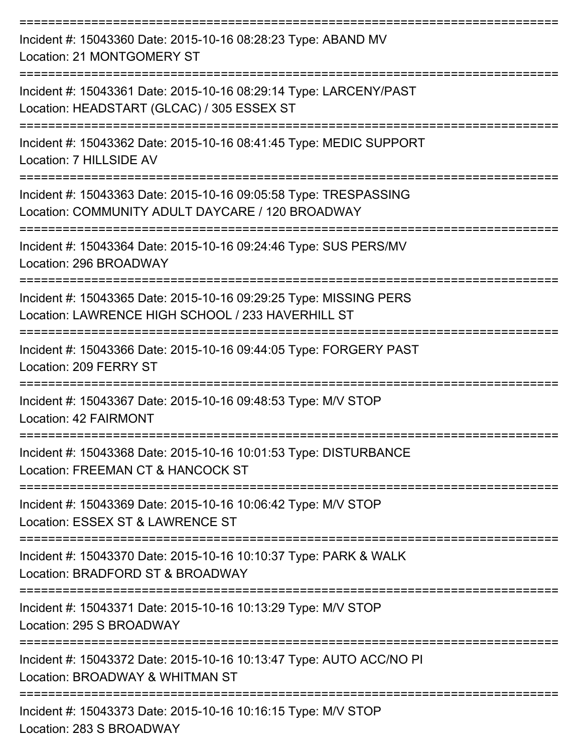| Incident #: 15043360 Date: 2015-10-16 08:28:23 Type: ABAND MV<br>Location: 21 MONTGOMERY ST                            |
|------------------------------------------------------------------------------------------------------------------------|
| Incident #: 15043361 Date: 2015-10-16 08:29:14 Type: LARCENY/PAST<br>Location: HEADSTART (GLCAC) / 305 ESSEX ST        |
| Incident #: 15043362 Date: 2015-10-16 08:41:45 Type: MEDIC SUPPORT<br>Location: 7 HILLSIDE AV                          |
| Incident #: 15043363 Date: 2015-10-16 09:05:58 Type: TRESPASSING<br>Location: COMMUNITY ADULT DAYCARE / 120 BROADWAY   |
| Incident #: 15043364 Date: 2015-10-16 09:24:46 Type: SUS PERS/MV<br>Location: 296 BROADWAY                             |
| Incident #: 15043365 Date: 2015-10-16 09:29:25 Type: MISSING PERS<br>Location: LAWRENCE HIGH SCHOOL / 233 HAVERHILL ST |
| Incident #: 15043366 Date: 2015-10-16 09:44:05 Type: FORGERY PAST<br>Location: 209 FERRY ST                            |
| Incident #: 15043367 Date: 2015-10-16 09:48:53 Type: M/V STOP<br>Location: 42 FAIRMONT                                 |
| Incident #: 15043368 Date: 2015-10-16 10:01:53 Type: DISTURBANCE<br>Location: FREEMAN CT & HANCOCK ST                  |
| Incident #: 15043369 Date: 2015-10-16 10:06:42 Type: M/V STOP<br>Location: ESSEX ST & LAWRENCE ST                      |
| Incident #: 15043370 Date: 2015-10-16 10:10:37 Type: PARK & WALK<br>Location: BRADFORD ST & BROADWAY                   |
| Incident #: 15043371 Date: 2015-10-16 10:13:29 Type: M/V STOP<br>Location: 295 S BROADWAY                              |
| Incident #: 15043372 Date: 2015-10-16 10:13:47 Type: AUTO ACC/NO PI<br>Location: BROADWAY & WHITMAN ST                 |
| ---------------------------<br>Incident #: 15043373 Date: 2015-10-16 10:16:15 Type: M/V STOP                           |

Location: 283 S BROADWAY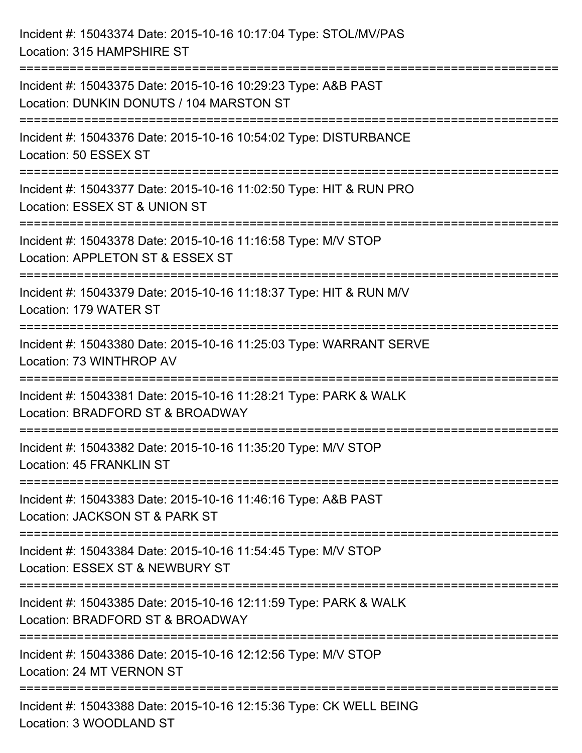| Incident #: 15043374 Date: 2015-10-16 10:17:04 Type: STOL/MV/PAS<br>Location: 315 HAMPSHIRE ST                                                                |
|---------------------------------------------------------------------------------------------------------------------------------------------------------------|
| Incident #: 15043375 Date: 2015-10-16 10:29:23 Type: A&B PAST<br>Location: DUNKIN DONUTS / 104 MARSTON ST                                                     |
| Incident #: 15043376 Date: 2015-10-16 10:54:02 Type: DISTURBANCE<br>Location: 50 ESSEX ST                                                                     |
| Incident #: 15043377 Date: 2015-10-16 11:02:50 Type: HIT & RUN PRO<br>Location: ESSEX ST & UNION ST                                                           |
| Incident #: 15043378 Date: 2015-10-16 11:16:58 Type: M/V STOP<br>Location: APPLETON ST & ESSEX ST<br>;===================================<br>---------------- |
| Incident #: 15043379 Date: 2015-10-16 11:18:37 Type: HIT & RUN M/V<br>Location: 179 WATER ST                                                                  |
| Incident #: 15043380 Date: 2015-10-16 11:25:03 Type: WARRANT SERVE<br>Location: 73 WINTHROP AV<br>:================================                           |
| Incident #: 15043381 Date: 2015-10-16 11:28:21 Type: PARK & WALK<br>Location: BRADFORD ST & BROADWAY                                                          |
| Incident #: 15043382 Date: 2015-10-16 11:35:20 Type: M/V STOP<br>Location: 45 FRANKLIN ST                                                                     |
| Incident #: 15043383 Date: 2015-10-16 11:46:16 Type: A&B PAST<br>Location: JACKSON ST & PARK ST                                                               |
| Incident #: 15043384 Date: 2015-10-16 11:54:45 Type: M/V STOP<br>Location: ESSEX ST & NEWBURY ST                                                              |
| Incident #: 15043385 Date: 2015-10-16 12:11:59 Type: PARK & WALK<br>Location: BRADFORD ST & BROADWAY                                                          |
| Incident #: 15043386 Date: 2015-10-16 12:12:56 Type: M/V STOP<br>Location: 24 MT VERNON ST                                                                    |
| Incident #: 15043388 Date: 2015-10-16 12:15:36 Type: CK WELL BEING<br>Location: 3 WOODLAND ST                                                                 |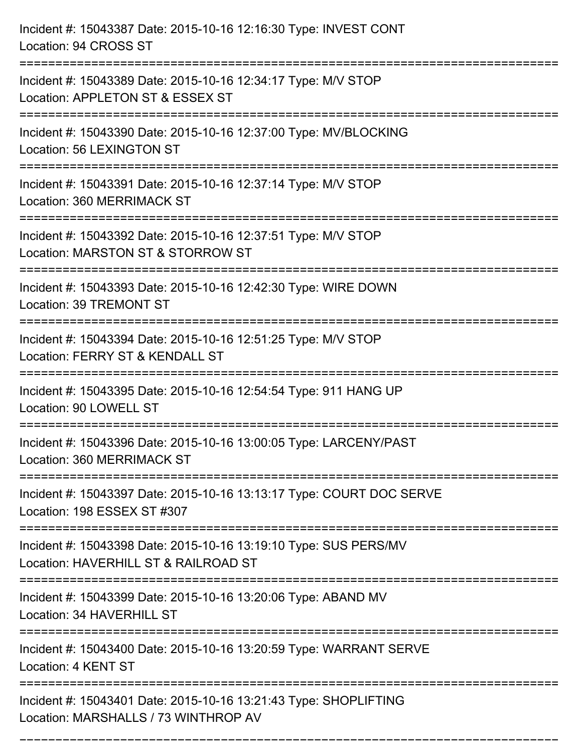| Incident #: 15043387 Date: 2015-10-16 12:16:30 Type: INVEST CONT<br>Location: 94 CROSS ST                |
|----------------------------------------------------------------------------------------------------------|
| Incident #: 15043389 Date: 2015-10-16 12:34:17 Type: M/V STOP<br>Location: APPLETON ST & ESSEX ST        |
| Incident #: 15043390 Date: 2015-10-16 12:37:00 Type: MV/BLOCKING<br>Location: 56 LEXINGTON ST            |
| Incident #: 15043391 Date: 2015-10-16 12:37:14 Type: M/V STOP<br>Location: 360 MERRIMACK ST              |
| Incident #: 15043392 Date: 2015-10-16 12:37:51 Type: M/V STOP<br>Location: MARSTON ST & STORROW ST       |
| Incident #: 15043393 Date: 2015-10-16 12:42:30 Type: WIRE DOWN<br>Location: 39 TREMONT ST                |
| Incident #: 15043394 Date: 2015-10-16 12:51:25 Type: M/V STOP<br>Location: FERRY ST & KENDALL ST         |
| Incident #: 15043395 Date: 2015-10-16 12:54:54 Type: 911 HANG UP<br>Location: 90 LOWELL ST               |
| Incident #: 15043396 Date: 2015-10-16 13:00:05 Type: LARCENY/PAST<br>Location: 360 MERRIMACK ST          |
| Incident #: 15043397 Date: 2015-10-16 13:13:17 Type: COURT DOC SERVE<br>Location: 198 ESSEX ST #307      |
| Incident #: 15043398 Date: 2015-10-16 13:19:10 Type: SUS PERS/MV<br>Location: HAVERHILL ST & RAILROAD ST |
| Incident #: 15043399 Date: 2015-10-16 13:20:06 Type: ABAND MV<br>Location: 34 HAVERHILL ST               |
| Incident #: 15043400 Date: 2015-10-16 13:20:59 Type: WARRANT SERVE<br>Location: 4 KENT ST                |
| Incident #: 15043401 Date: 2015-10-16 13:21:43 Type: SHOPLIFTING<br>Location: MARSHALLS / 73 WINTHROP AV |

===========================================================================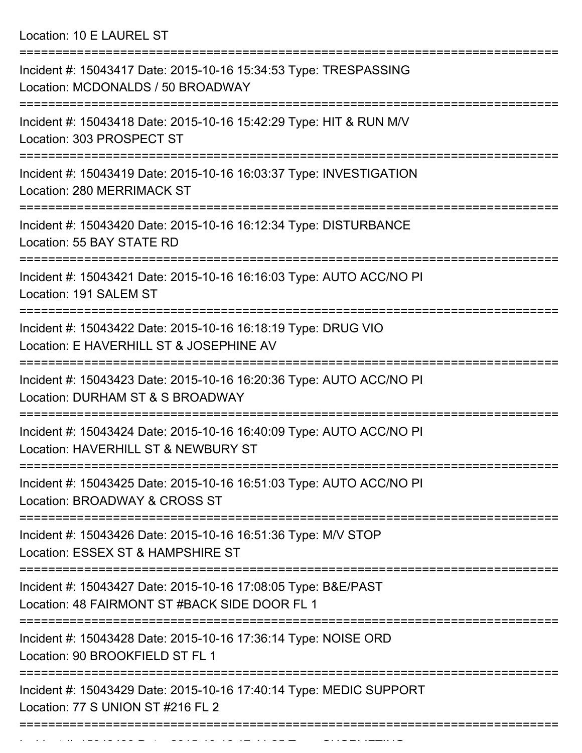Location: 10 E LAUREL ST

| Incident #: 15043417 Date: 2015-10-16 15:34:53 Type: TRESPASSING<br>Location: MCDONALDS / 50 BROADWAY                     |
|---------------------------------------------------------------------------------------------------------------------------|
| Incident #: 15043418 Date: 2015-10-16 15:42:29 Type: HIT & RUN M/V<br>Location: 303 PROSPECT ST                           |
| Incident #: 15043419 Date: 2015-10-16 16:03:37 Type: INVESTIGATION<br><b>Location: 280 MERRIMACK ST</b>                   |
| Incident #: 15043420 Date: 2015-10-16 16:12:34 Type: DISTURBANCE<br>Location: 55 BAY STATE RD                             |
| Incident #: 15043421 Date: 2015-10-16 16:16:03 Type: AUTO ACC/NO PI<br>Location: 191 SALEM ST                             |
| Incident #: 15043422 Date: 2015-10-16 16:18:19 Type: DRUG VIO<br>Location: E HAVERHILL ST & JOSEPHINE AV                  |
| Incident #: 15043423 Date: 2015-10-16 16:20:36 Type: AUTO ACC/NO PI<br>Location: DURHAM ST & S BROADWAY                   |
| Incident #: 15043424 Date: 2015-10-16 16:40:09 Type: AUTO ACC/NO PI<br>Location: HAVERHILL ST & NEWBURY ST                |
| =================<br>Incident #: 15043425 Date: 2015-10-16 16:51:03 Type: AUTO ACC/NO PI<br>Location: BROADWAY & CROSS ST |
| Incident #: 15043426 Date: 2015-10-16 16:51:36 Type: M/V STOP<br>Location: ESSEX ST & HAMPSHIRE ST                        |
| Incident #: 15043427 Date: 2015-10-16 17:08:05 Type: B&E/PAST<br>Location: 48 FAIRMONT ST #BACK SIDE DOOR FL 1            |
| Incident #: 15043428 Date: 2015-10-16 17:36:14 Type: NOISE ORD<br>Location: 90 BROOKFIELD ST FL 1                         |
| Incident #: 15043429 Date: 2015-10-16 17:40:14 Type: MEDIC SUPPORT<br>Location: 77 S UNION ST #216 FL 2                   |
|                                                                                                                           |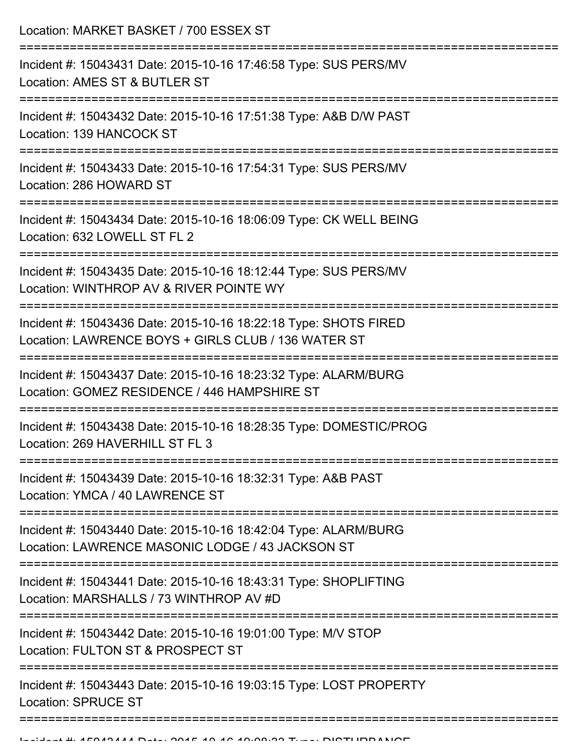Location: MARKET BASKET / 700 ESSEX ST

| Incident #: 15043431 Date: 2015-10-16 17:46:58 Type: SUS PERS/MV<br>Location: AMES ST & BUTLER ST                       |
|-------------------------------------------------------------------------------------------------------------------------|
| Incident #: 15043432 Date: 2015-10-16 17:51:38 Type: A&B D/W PAST<br>Location: 139 HANCOCK ST                           |
| Incident #: 15043433 Date: 2015-10-16 17:54:31 Type: SUS PERS/MV<br>Location: 286 HOWARD ST                             |
| Incident #: 15043434 Date: 2015-10-16 18:06:09 Type: CK WELL BEING<br>Location: 632 LOWELL ST FL 2                      |
| Incident #: 15043435 Date: 2015-10-16 18:12:44 Type: SUS PERS/MV<br>Location: WINTHROP AV & RIVER POINTE WY             |
| Incident #: 15043436 Date: 2015-10-16 18:22:18 Type: SHOTS FIRED<br>Location: LAWRENCE BOYS + GIRLS CLUB / 136 WATER ST |
| Incident #: 15043437 Date: 2015-10-16 18:23:32 Type: ALARM/BURG<br>Location: GOMEZ RESIDENCE / 446 HAMPSHIRE ST         |
| Incident #: 15043438 Date: 2015-10-16 18:28:35 Type: DOMESTIC/PROG<br>Location: 269 HAVERHILL ST FL 3                   |
| Incident #: 15043439 Date: 2015-10-16 18:32:31 Type: A&B PAST<br>Location: YMCA / 40 LAWRENCE ST                        |
| Incident #: 15043440 Date: 2015-10-16 18:42:04 Type: ALARM/BURG<br>Location: LAWRENCE MASONIC LODGE / 43 JACKSON ST     |
| Incident #: 15043441 Date: 2015-10-16 18:43:31 Type: SHOPLIFTING<br>Location: MARSHALLS / 73 WINTHROP AV #D             |
| Incident #: 15043442 Date: 2015-10-16 19:01:00 Type: M/V STOP<br>Location: FULTON ST & PROSPECT ST                      |
| Incident #: 15043443 Date: 2015-10-16 19:03:15 Type: LOST PROPERTY<br><b>Location: SPRUCE ST</b>                        |
|                                                                                                                         |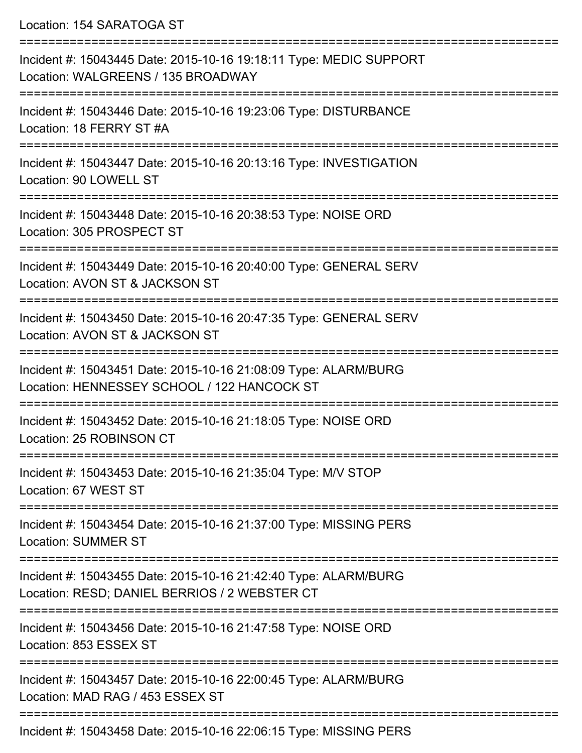Location: 154 SARATOGA ST

| Incident #: 15043445 Date: 2015-10-16 19:18:11 Type: MEDIC SUPPORT<br>Location: WALGREENS / 135 BROADWAY         |
|------------------------------------------------------------------------------------------------------------------|
| Incident #: 15043446 Date: 2015-10-16 19:23:06 Type: DISTURBANCE<br>Location: 18 FERRY ST #A                     |
| Incident #: 15043447 Date: 2015-10-16 20:13:16 Type: INVESTIGATION<br>Location: 90 LOWELL ST                     |
| Incident #: 15043448 Date: 2015-10-16 20:38:53 Type: NOISE ORD<br>Location: 305 PROSPECT ST                      |
| Incident #: 15043449 Date: 2015-10-16 20:40:00 Type: GENERAL SERV<br>Location: AVON ST & JACKSON ST              |
| Incident #: 15043450 Date: 2015-10-16 20:47:35 Type: GENERAL SERV<br>Location: AVON ST & JACKSON ST              |
| Incident #: 15043451 Date: 2015-10-16 21:08:09 Type: ALARM/BURG<br>Location: HENNESSEY SCHOOL / 122 HANCOCK ST   |
| Incident #: 15043452 Date: 2015-10-16 21:18:05 Type: NOISE ORD<br>Location: 25 ROBINSON CT                       |
| Incident #: 15043453 Date: 2015-10-16 21:35:04 Type: M/V STOP<br>Location: 67 WEST ST                            |
| Incident #: 15043454 Date: 2015-10-16 21:37:00 Type: MISSING PERS<br><b>Location: SUMMER ST</b>                  |
| Incident #: 15043455 Date: 2015-10-16 21:42:40 Type: ALARM/BURG<br>Location: RESD; DANIEL BERRIOS / 2 WEBSTER CT |
| Incident #: 15043456 Date: 2015-10-16 21:47:58 Type: NOISE ORD<br>Location: 853 ESSEX ST                         |
| Incident #: 15043457 Date: 2015-10-16 22:00:45 Type: ALARM/BURG<br>Location: MAD RAG / 453 ESSEX ST              |
| Incident #: 15043458 Date: 2015-10-16 22:06:15 Type: MISSING PERS                                                |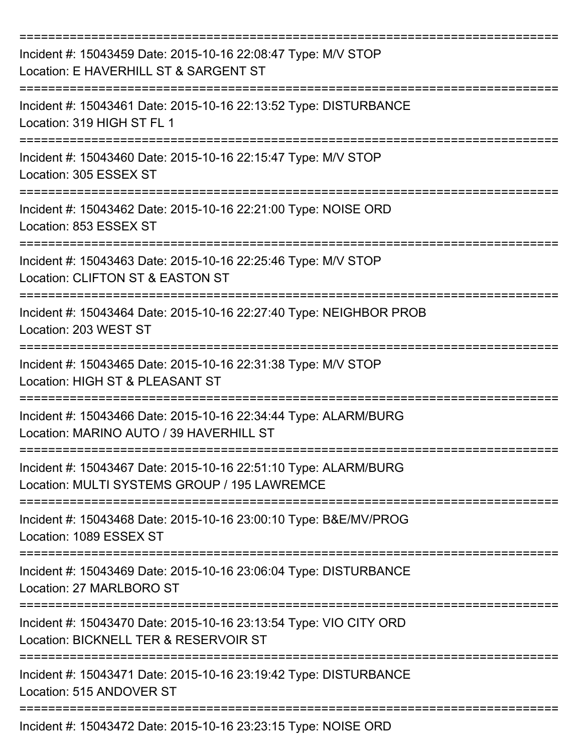| Incident #: 15043459 Date: 2015-10-16 22:08:47 Type: M/V STOP<br>Location: E HAVERHILL ST & SARGENT ST          |
|-----------------------------------------------------------------------------------------------------------------|
| Incident #: 15043461 Date: 2015-10-16 22:13:52 Type: DISTURBANCE<br>Location: 319 HIGH ST FL 1                  |
| Incident #: 15043460 Date: 2015-10-16 22:15:47 Type: M/V STOP<br>Location: 305 ESSEX ST                         |
| Incident #: 15043462 Date: 2015-10-16 22:21:00 Type: NOISE ORD<br>Location: 853 ESSEX ST                        |
| Incident #: 15043463 Date: 2015-10-16 22:25:46 Type: M/V STOP<br>Location: CLIFTON ST & EASTON ST               |
| Incident #: 15043464 Date: 2015-10-16 22:27:40 Type: NEIGHBOR PROB<br>Location: 203 WEST ST                     |
| Incident #: 15043465 Date: 2015-10-16 22:31:38 Type: M/V STOP<br>Location: HIGH ST & PLEASANT ST                |
| Incident #: 15043466 Date: 2015-10-16 22:34:44 Type: ALARM/BURG<br>Location: MARINO AUTO / 39 HAVERHILL ST      |
| Incident #: 15043467 Date: 2015-10-16 22:51:10 Type: ALARM/BURG<br>Location: MULTI SYSTEMS GROUP / 195 LAWREMCE |
| Incident #: 15043468 Date: 2015-10-16 23:00:10 Type: B&E/MV/PROG<br>Location: 1089 ESSEX ST                     |
| Incident #: 15043469 Date: 2015-10-16 23:06:04 Type: DISTURBANCE<br>Location: 27 MARLBORO ST                    |
| Incident #: 15043470 Date: 2015-10-16 23:13:54 Type: VIO CITY ORD<br>Location: BICKNELL TER & RESERVOIR ST      |
| Incident #: 15043471 Date: 2015-10-16 23:19:42 Type: DISTURBANCE<br>Location: 515 ANDOVER ST                    |
| Incident #: 15043472 Date: 2015-10-16 23:23:15 Type: NOISE ORD                                                  |